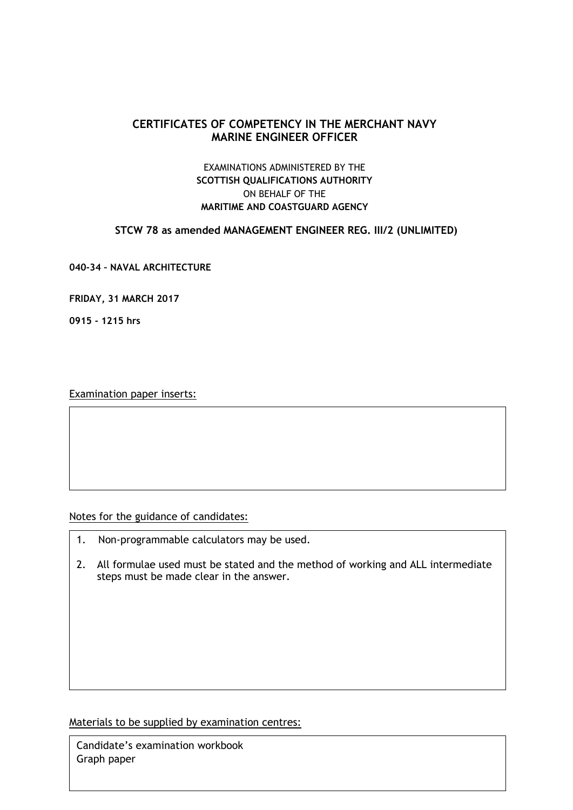# **CERTIFICATES OF COMPETENCY IN THE MERCHANT NAVY MARINE ENGINEER OFFICER**

## EXAMINATIONS ADMINISTERED BY THE **SCOTTISH QUALIFICATIONS AUTHORITY** ON BEHALF OF THE **MARITIME AND COASTGUARD AGENCY**

**STCW 78 as amended MANAGEMENT ENGINEER REG. III/2 (UNLIMITED)**

**040-34 – NAVAL ARCHITECTURE** 

**FRIDAY, 31 MARCH 2017**

**0915 - 1215 hrs**

Examination paper inserts:

Notes for the guidance of candidates:

- 1. Non-programmable calculators may be used.
- 2. All formulae used must be stated and the method of working and ALL intermediate steps must be made clear in the answer.

Materials to be supplied by examination centres:

Candidate's examination workbook Graph paper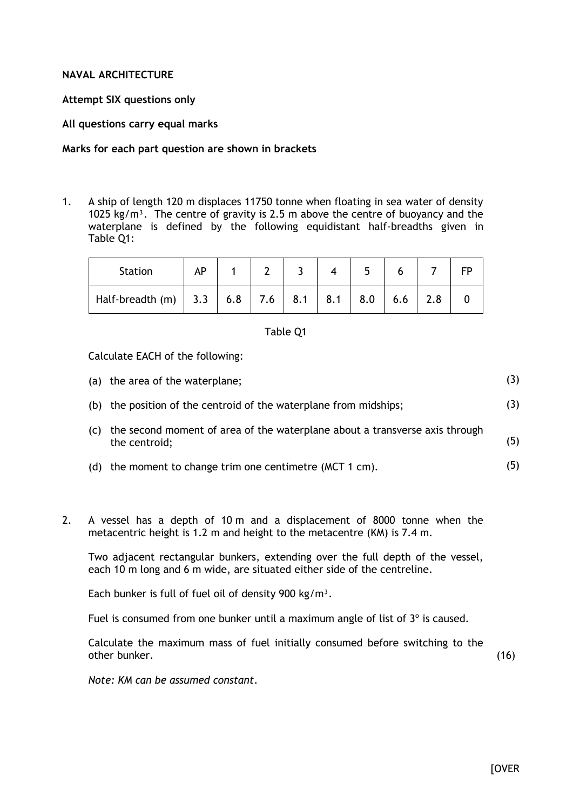#### **NAVAL ARCHITECTURE**

#### **Attempt SIX questions only**

**All questions carry equal marks**

### **Marks for each part question are shown in brackets**

1. A ship of length 120 m displaces 11750 tonne when floating in sea water of density 1025 kg/m<sup>3</sup>. The centre of gravity is 2.5 m above the centre of buoyancy and the waterplane is defined by the following equidistant half-breadths given in Table Q1:

| <b>Station</b>     |     |     |     |     |     |     |     |  |  |
|--------------------|-----|-----|-----|-----|-----|-----|-----|--|--|
| Half-breadth $(m)$ | 3.3 | 6.8 | 7.6 | 8.1 | 8.1 | 8.0 | 6.6 |  |  |

#### Table Q1

Calculate EACH of the following:

|     | (a) the area of the waterplane;                                                              | (3) |
|-----|----------------------------------------------------------------------------------------------|-----|
|     | (b) the position of the centroid of the waterplane from midships;                            | (3) |
| (C) | the second moment of area of the waterplane about a transverse axis through<br>the centroid; | (5) |
|     | (d) the moment to change trim one centimetre $(MCT 1 cm)$ .                                  | (5) |

2. A vessel has a depth of 10 m and a displacement of 8000 tonne when the metacentric height is 1.2 m and height to the metacentre (KM) is 7.4 m.

Two adjacent rectangular bunkers, extending over the full depth of the vessel, each 10 m long and 6 m wide, are situated either side of the centreline.

Each bunker is full of fuel oil of density 900 kg/m<sup>3</sup>.

Fuel is consumed from one bunker until a maximum angle of list of  $3^\circ$  is caused.

Calculate the maximum mass of fuel initially consumed before switching to the other bunker. (16)

*Note: KM can be assumed constant*.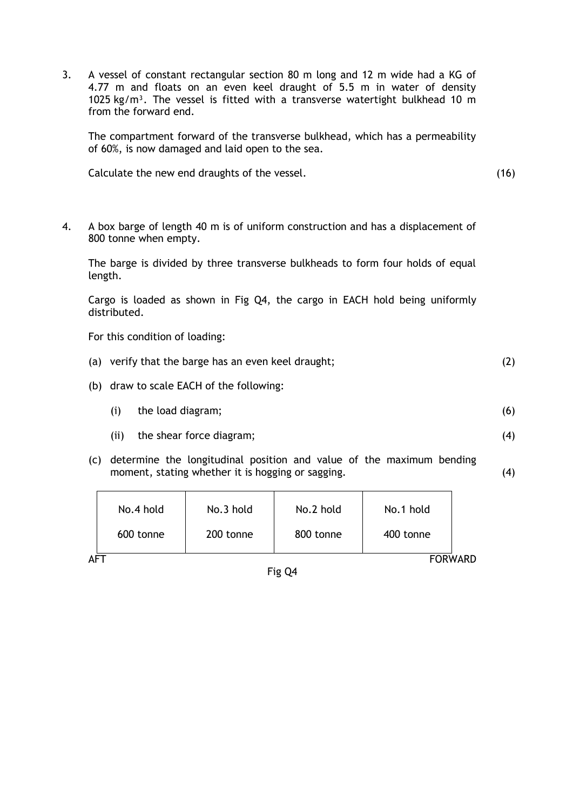3. A vessel of constant rectangular section 80 m long and 12 m wide had a KG of 4.77 m and floats on an even keel draught of 5.5 m in water of density 1025 kg/m<sup>3</sup>. The vessel is fitted with a transverse watertight bulkhead 10 m from the forward end.

The compartment forward of the transverse bulkhead, which has a permeability of 60%, is now damaged and laid open to the sea.

Calculate the new end draughts of the vessel. (16)

(4)

(4)

4. A box barge of length 40 m is of uniform construction and has a displacement of 800 tonne when empty.

The barge is divided by three transverse bulkheads to form four holds of equal length.

Cargo is loaded as shown in Fig Q4, the cargo in EACH hold being uniformly distributed.

- For this condition of loading:
- (a) verify that the barge has an even keel draught; (2)
- (b) draw to scale EACH of the following:
	- (i) the load diagram; (6)
	- (ii) the shear force diagram;
- (c) determine the longitudinal position and value of the maximum bending moment, stating whether it is hogging or sagging.

|     | No.4 hold      | No.3 hold | No.2 hold | No.1 hold |  |  |
|-----|----------------|-----------|-----------|-----------|--|--|
|     | 600 tonne      | 200 tonne | 800 tonne | 400 tonne |  |  |
| AFT | <b>FORWARD</b> |           |           |           |  |  |

Fig Q4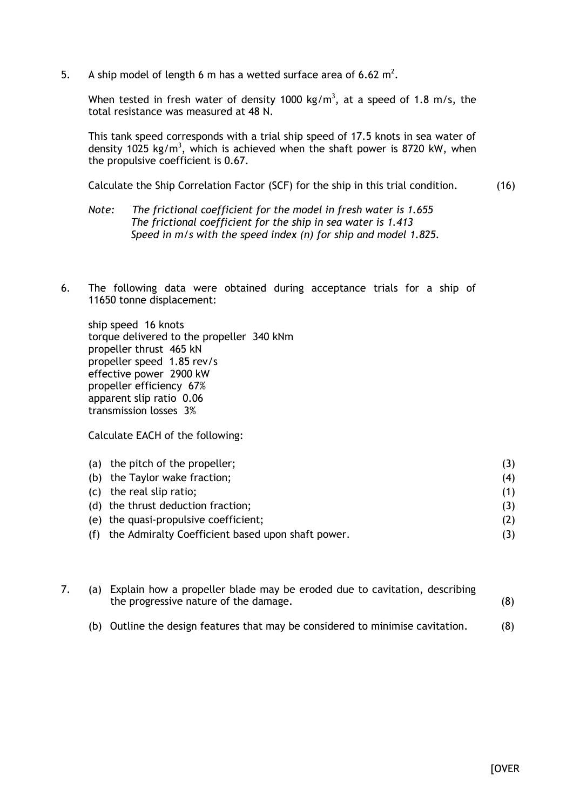5. A ship model of length 6 m has a wetted surface area of 6.62  $m^2$ .

When tested in fresh water of density 1000 kg/m<sup>3</sup>, at a speed of 1.8 m/s, the total resistance was measured at 48 N.

This tank speed corresponds with a trial ship speed of 17.5 knots in sea water of density 1025 kg/m<sup>3</sup>, which is achieved when the shaft power is 8720 kW, when the propulsive coefficient is 0.67.

Calculate the Ship Correlation Factor (SCF) for the ship in this trial condition. (16)

- *Note: The frictional coefficient for the model in fresh water is 1.655 The frictional coefficient for the ship in sea water is 1.413 Speed in m/s with the speed index (n) for ship and model 1.825.*
- 6. The following data were obtained during acceptance trials for a ship of 11650 tonne displacement:

ship speed 16 knots torque delivered to the propeller 340 kNm propeller thrust 465 kN propeller speed 1.85 rev/s effective power 2900 kW propeller efficiency 67% apparent slip ratio 0.06 transmission losses 3%

Calculate EACH of the following:

| (a) the pitch of the propeller;                       | (3) |
|-------------------------------------------------------|-----|
| (b) the Taylor wake fraction;                         | (4) |
| (c) the real slip ratio;                              | (1) |
| (d) the thrust deduction fraction;                    | (3) |
| (e) the quasi-propulsive coefficient;                 | (2) |
| (f) the Admiralty Coefficient based upon shaft power. |     |

|  | (a) Explain how a propeller blade may be eroded due to cavitation, describing<br>the progressive nature of the damage. |     |  |  |  |
|--|------------------------------------------------------------------------------------------------------------------------|-----|--|--|--|
|  | (b) Outline the design features that may be considered to minimise cavitation.                                         | (8) |  |  |  |

**[OVER**